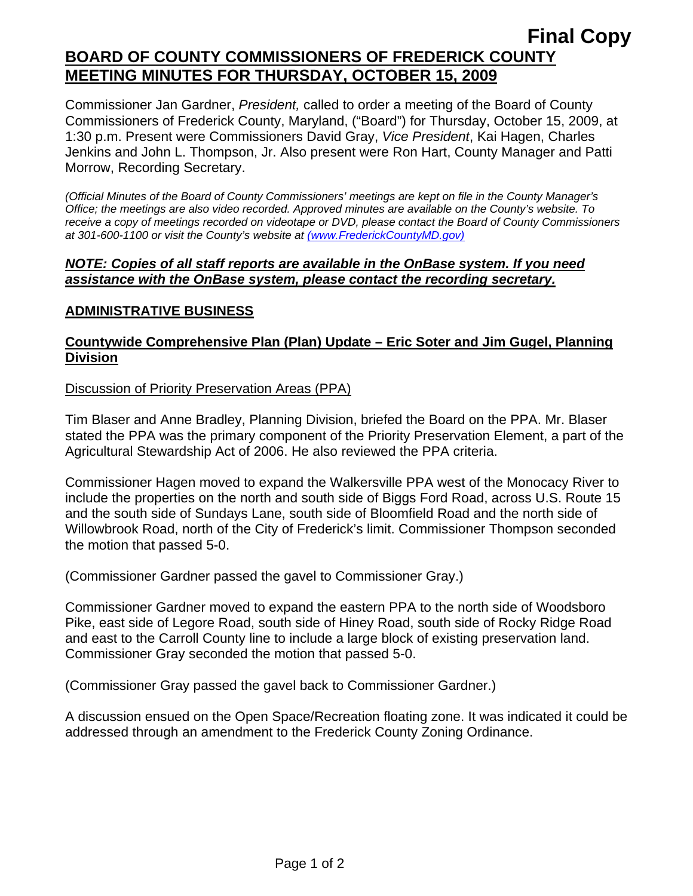## **Final Copy BOARD OF COUNTY COMMISSIONERS OF FREDERICK COUNTY MEETING MINUTES FOR THURSDAY, OCTOBER 15, 2009**

Commissioner Jan Gardner, *President,* called to order a meeting of the Board of County Commissioners of Frederick County, Maryland, ("Board") for Thursday, October 15, 2009, at 1:30 p.m. Present were Commissioners David Gray, *Vice President*, Kai Hagen, Charles Jenkins and John L. Thompson, Jr. Also present were Ron Hart, County Manager and Patti Morrow, Recording Secretary.

*(Official Minutes of the Board of County Commissioners' meetings are kept on file in the County Manager's Office; the meetings are also video recorded. Approved minutes are available on the County's website. To receive a copy of meetings recorded on videotape or DVD, please contact the Board of County Commissioners at 301-600-1100 or visit the County's website at (www.FrederickCountyMD.gov)*

#### *NOTE: Copies of all staff reports are available in the OnBase system. If you need assistance with the OnBase system, please contact the recording secretary.*

## **ADMINISTRATIVE BUSINESS**

## **Countywide Comprehensive Plan (Plan) Update – Eric Soter and Jim Gugel, Planning Division**

#### Discussion of Priority Preservation Areas (PPA)

Tim Blaser and Anne Bradley, Planning Division, briefed the Board on the PPA. Mr. Blaser stated the PPA was the primary component of the Priority Preservation Element, a part of the Agricultural Stewardship Act of 2006. He also reviewed the PPA criteria.

Commissioner Hagen moved to expand the Walkersville PPA west of the Monocacy River to include the properties on the north and south side of Biggs Ford Road, across U.S. Route 15 and the south side of Sundays Lane, south side of Bloomfield Road and the north side of Willowbrook Road, north of the City of Frederick's limit. Commissioner Thompson seconded the motion that passed 5-0.

(Commissioner Gardner passed the gavel to Commissioner Gray.)

Commissioner Gardner moved to expand the eastern PPA to the north side of Woodsboro Pike, east side of Legore Road, south side of Hiney Road, south side of Rocky Ridge Road and east to the Carroll County line to include a large block of existing preservation land. Commissioner Gray seconded the motion that passed 5-0.

(Commissioner Gray passed the gavel back to Commissioner Gardner.)

A discussion ensued on the Open Space/Recreation floating zone. It was indicated it could be addressed through an amendment to the Frederick County Zoning Ordinance.